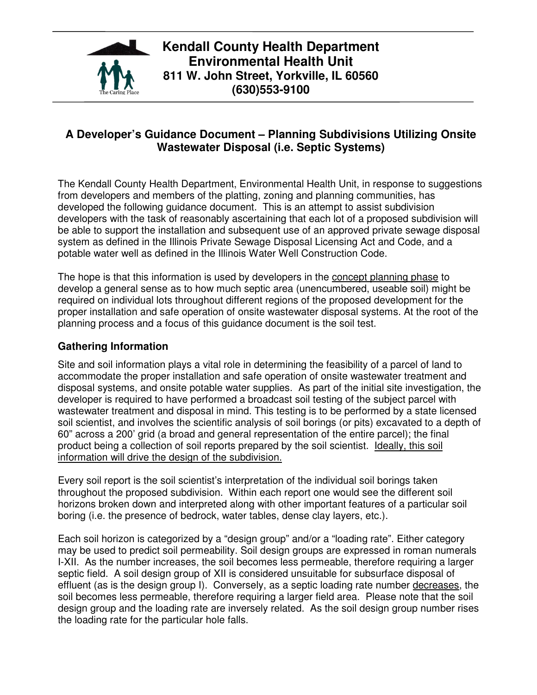

**Kendall County Health Department Environmental Health Unit 811 W. John Street, Yorkville, IL 60560 (630)553-9100** 

# **A Developer's Guidance Document – Planning Subdivisions Utilizing Onsite Wastewater Disposal (i.e. Septic Systems)**

The Kendall County Health Department, Environmental Health Unit, in response to suggestions from developers and members of the platting, zoning and planning communities, has developed the following guidance document. This is an attempt to assist subdivision developers with the task of reasonably ascertaining that each lot of a proposed subdivision will be able to support the installation and subsequent use of an approved private sewage disposal system as defined in the Illinois Private Sewage Disposal Licensing Act and Code, and a potable water well as defined in the Illinois Water Well Construction Code.

The hope is that this information is used by developers in the concept planning phase to develop a general sense as to how much septic area (unencumbered, useable soil) might be required on individual lots throughout different regions of the proposed development for the proper installation and safe operation of onsite wastewater disposal systems. At the root of the planning process and a focus of this guidance document is the soil test.

### **Gathering Information**

Site and soil information plays a vital role in determining the feasibility of a parcel of land to accommodate the proper installation and safe operation of onsite wastewater treatment and disposal systems, and onsite potable water supplies. As part of the initial site investigation, the developer is required to have performed a broadcast soil testing of the subject parcel with wastewater treatment and disposal in mind. This testing is to be performed by a state licensed soil scientist, and involves the scientific analysis of soil borings (or pits) excavated to a depth of 60" across a 200' grid (a broad and general representation of the entire parcel); the final product being a collection of soil reports prepared by the soil scientist. Ideally, this soil information will drive the design of the subdivision.

Every soil report is the soil scientist's interpretation of the individual soil borings taken throughout the proposed subdivision. Within each report one would see the different soil horizons broken down and interpreted along with other important features of a particular soil boring (i.e. the presence of bedrock, water tables, dense clay layers, etc.).

Each soil horizon is categorized by a "design group" and/or a "loading rate". Either category may be used to predict soil permeability. Soil design groups are expressed in roman numerals I-XII. As the number increases, the soil becomes less permeable, therefore requiring a larger septic field. A soil design group of XII is considered unsuitable for subsurface disposal of effluent (as is the design group I). Conversely, as a septic loading rate number decreases, the soil becomes less permeable, therefore requiring a larger field area. Please note that the soil design group and the loading rate are inversely related. As the soil design group number rises the loading rate for the particular hole falls.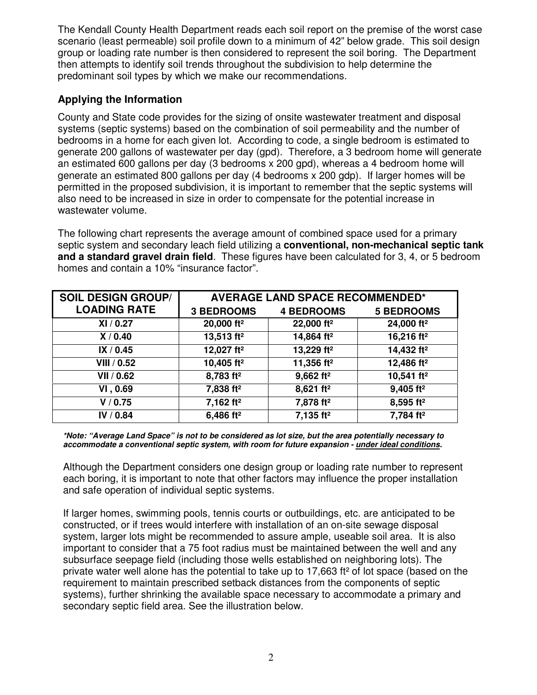The Kendall County Health Department reads each soil report on the premise of the worst case scenario (least permeable) soil profile down to a minimum of 42" below grade. This soil design group or loading rate number is then considered to represent the soil boring. The Department then attempts to identify soil trends throughout the subdivision to help determine the predominant soil types by which we make our recommendations.

## **Applying the Information**

County and State code provides for the sizing of onsite wastewater treatment and disposal systems (septic systems) based on the combination of soil permeability and the number of bedrooms in a home for each given lot. According to code, a single bedroom is estimated to generate 200 gallons of wastewater per day (gpd). Therefore, a 3 bedroom home will generate an estimated 600 gallons per day (3 bedrooms x 200 gpd), whereas a 4 bedroom home will generate an estimated 800 gallons per day (4 bedrooms x 200 gdp). If larger homes will be permitted in the proposed subdivision, it is important to remember that the septic systems will also need to be increased in size in order to compensate for the potential increase in wastewater volume.

The following chart represents the average amount of combined space used for a primary septic system and secondary leach field utilizing a **conventional, non-mechanical septic tank and a standard gravel drain field**. These figures have been calculated for 3, 4, or 5 bedroom homes and contain a 10% "insurance factor".

| <b>SOIL DESIGN GROUP/</b> | <b>AVERAGE LAND SPACE RECOMMENDED*</b> |                         |                        |
|---------------------------|----------------------------------------|-------------------------|------------------------|
| <b>LOADING RATE</b>       | <b>3 BEDROOMS</b>                      | <b>4 BEDROOMS</b>       | <b>5 BEDROOMS</b>      |
| XI / 0.27                 | 20,000 ft <sup>2</sup>                 | 22,000 ft <sup>2</sup>  | 24,000 ft <sup>2</sup> |
| X/0.40                    | 13,513 ft <sup>2</sup>                 | 14,864 ft <sup>2</sup>  | 16,216 ft <sup>2</sup> |
| IX / 0.45                 | 12,027 ft <sup>2</sup>                 | 13,229 ft <sup>2</sup>  | 14,432 ft <sup>2</sup> |
| <b>VIII</b> / 0.52        | 10,405 ft <sup>2</sup>                 | 11,356 ft <sup>2</sup>  | 12,486 ft <sup>2</sup> |
| VII / 0.62                | 8,783 ft <sup>2</sup>                  | $9,662$ ft <sup>2</sup> | 10,541 ft <sup>2</sup> |
| VI, 0.69                  | 7,838 ft <sup>2</sup>                  | $8,621$ ft <sup>2</sup> | 9,405 ft <sup>2</sup>  |
| V / 0.75                  | 7,162 ft <sup>2</sup>                  | 7,878 ft <sup>2</sup>   | 8,595 ft <sup>2</sup>  |
| IV / 0.84                 | 6,486 ft <sup>2</sup>                  | 7,135 ft <sup>2</sup>   | 7,784 ft <sup>2</sup>  |

**\*Note: "Average Land Space" is not to be considered as lot size, but the area potentially necessary to accommodate a conventional septic system, with room for future expansion - under ideal conditions.** 

Although the Department considers one design group or loading rate number to represent each boring, it is important to note that other factors may influence the proper installation and safe operation of individual septic systems.

If larger homes, swimming pools, tennis courts or outbuildings, etc. are anticipated to be constructed, or if trees would interfere with installation of an on-site sewage disposal system, larger lots might be recommended to assure ample, useable soil area. It is also important to consider that a 75 foot radius must be maintained between the well and any subsurface seepage field (including those wells established on neighboring lots). The private water well alone has the potential to take up to 17,663 ft² of lot space (based on the requirement to maintain prescribed setback distances from the components of septic systems), further shrinking the available space necessary to accommodate a primary and secondary septic field area. See the illustration below.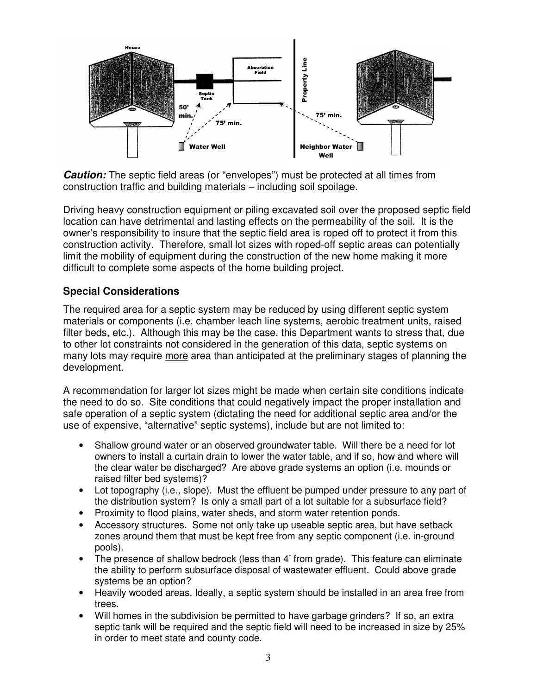

**Caution:** The septic field areas (or "envelopes") must be protected at all times from construction traffic and building materials – including soil spoilage.

Driving heavy construction equipment or piling excavated soil over the proposed septic field location can have detrimental and lasting effects on the permeability of the soil. It is the owner's responsibility to insure that the septic field area is roped off to protect it from this construction activity. Therefore, small lot sizes with roped-off septic areas can potentially limit the mobility of equipment during the construction of the new home making it more difficult to complete some aspects of the home building project.

#### **Special Considerations**

The required area for a septic system may be reduced by using different septic system materials or components (i.e. chamber leach line systems, aerobic treatment units, raised filter beds, etc.). Although this may be the case, this Department wants to stress that, due to other lot constraints not considered in the generation of this data, septic systems on many lots may require more area than anticipated at the preliminary stages of planning the development.

A recommendation for larger lot sizes might be made when certain site conditions indicate the need to do so. Site conditions that could negatively impact the proper installation and safe operation of a septic system (dictating the need for additional septic area and/or the use of expensive, "alternative" septic systems), include but are not limited to:

- Shallow ground water or an observed groundwater table. Will there be a need for lot owners to install a curtain drain to lower the water table, and if so, how and where will the clear water be discharged? Are above grade systems an option (i.e. mounds or raised filter bed systems)?
- Lot topography (i.e., slope). Must the effluent be pumped under pressure to any part of the distribution system? Is only a small part of a lot suitable for a subsurface field?
- Proximity to flood plains, water sheds, and storm water retention ponds.
- Accessory structures. Some not only take up useable septic area, but have setback zones around them that must be kept free from any septic component (i.e. in-ground pools).
- The presence of shallow bedrock (less than 4' from grade). This feature can eliminate the ability to perform subsurface disposal of wastewater effluent. Could above grade systems be an option?
- Heavily wooded areas. Ideally, a septic system should be installed in an area free from trees.
- Will homes in the subdivision be permitted to have garbage grinders? If so, an extra septic tank will be required and the septic field will need to be increased in size by 25% in order to meet state and county code.